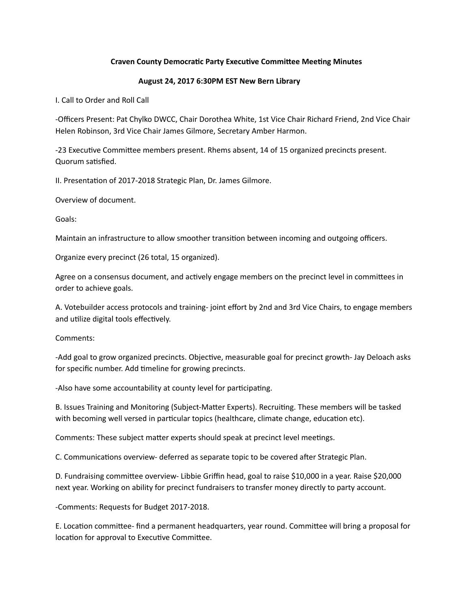## **Craven County Democratic Party Executive Committee Meeting Minutes**

## **August 24, 2017 6:30PM EST New Bern Library**

I. Call to Order and Roll Call

-Officers Present: Pat Chylko DWCC, Chair Dorothea White, 1st Vice Chair Richard Friend, 2nd Vice Chair Helen Robinson, 3rd Vice Chair James Gilmore, Secretary Amber Harmon.

-23 Executive Committee members present. Rhems absent, 14 of 15 organized precincts present. Quorum satisfied.

II. Presentation of 2017-2018 Strategic Plan, Dr. James Gilmore.

Overview of document.

Goals: 

Maintain an infrastructure to allow smoother transition between incoming and outgoing officers.

Organize every precinct (26 total, 15 organized).

Agree on a consensus document, and actively engage members on the precinct level in committees in order to achieve goals.

A. Votebuilder access protocols and training- joint effort by 2nd and 3rd Vice Chairs, to engage members and utilize digital tools effectively.

Comments: 

-Add goal to grow organized precincts. Objective, measurable goal for precinct growth- Jay Deloach asks for specific number. Add timeline for growing precincts.

-Also have some accountability at county level for participating.

B. Issues Training and Monitoring (Subject-Matter Experts). Recruiting. These members will be tasked with becoming well versed in particular topics (healthcare, climate change, education etc).

Comments: These subject matter experts should speak at precinct level meetings.

C. Communications overview- deferred as separate topic to be covered after Strategic Plan.

D. Fundraising committee overview- Libbie Griffin head, goal to raise \$10,000 in a year. Raise \$20,000 next year. Working on ability for precinct fundraisers to transfer money directly to party account.

-Comments: Requests for Budget 2017-2018.

E. Location committee- find a permanent headquarters, year round. Committee will bring a proposal for location for approval to Executive Committee.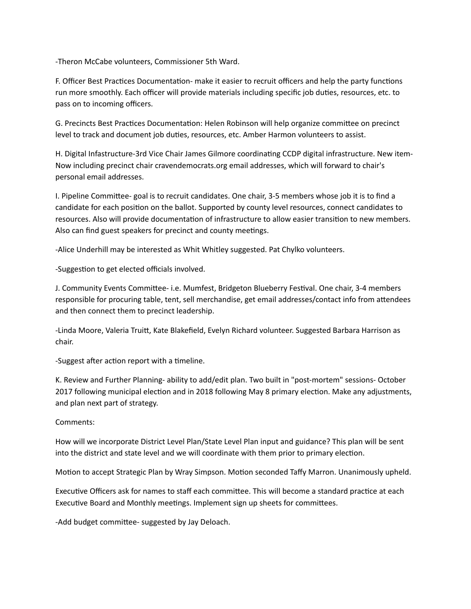-Theron McCabe volunteers, Commissioner 5th Ward.

F. Officer Best Practices Documentation- make it easier to recruit officers and help the party functions run more smoothly. Each officer will provide materials including specific job duties, resources, etc. to pass on to incoming officers.

G. Precincts Best Practices Documentation: Helen Robinson will help organize committee on precinct level to track and document job duties, resources, etc. Amber Harmon volunteers to assist.

H. Digital Infastructure-3rd Vice Chair James Gilmore coordinating CCDP digital infrastructure. New item-Now including precinct chair cravendemocrats.org email addresses, which will forward to chair's personal email addresses.

I. Pipeline Committee- goal is to recruit candidates. One chair, 3-5 members whose job it is to find a candidate for each position on the ballot. Supported by county level resources, connect candidates to resources. Also will provide documentation of infrastructure to allow easier transition to new members. Also can find guest speakers for precinct and county meetings.

-Alice Underhill may be interested as Whit Whitley suggested. Pat Chylko volunteers.

-Suggestion to get elected officials involved.

J. Community Events Committee- i.e. Mumfest, Bridgeton Blueberry Festival. One chair, 3-4 members responsible for procuring table, tent, sell merchandise, get email addresses/contact info from attendees and then connect them to precinct leadership.

-Linda Moore, Valeria Truitt, Kate Blakefield, Evelyn Richard volunteer. Suggested Barbara Harrison as chair. 

-Suggest after action report with a timeline.

K. Review and Further Planning- ability to add/edit plan. Two built in "post-mortem" sessions- October 2017 following municipal election and in 2018 following May 8 primary election. Make any adjustments, and plan next part of strategy.

Comments: 

How will we incorporate District Level Plan/State Level Plan input and guidance? This plan will be sent into the district and state level and we will coordinate with them prior to primary election.

Motion to accept Strategic Plan by Wray Simpson. Motion seconded Taffy Marron. Unanimously upheld.

Executive Officers ask for names to staff each committee. This will become a standard practice at each Executive Board and Monthly meetings. Implement sign up sheets for committees.

-Add budget committee- suggested by Jay Deloach.